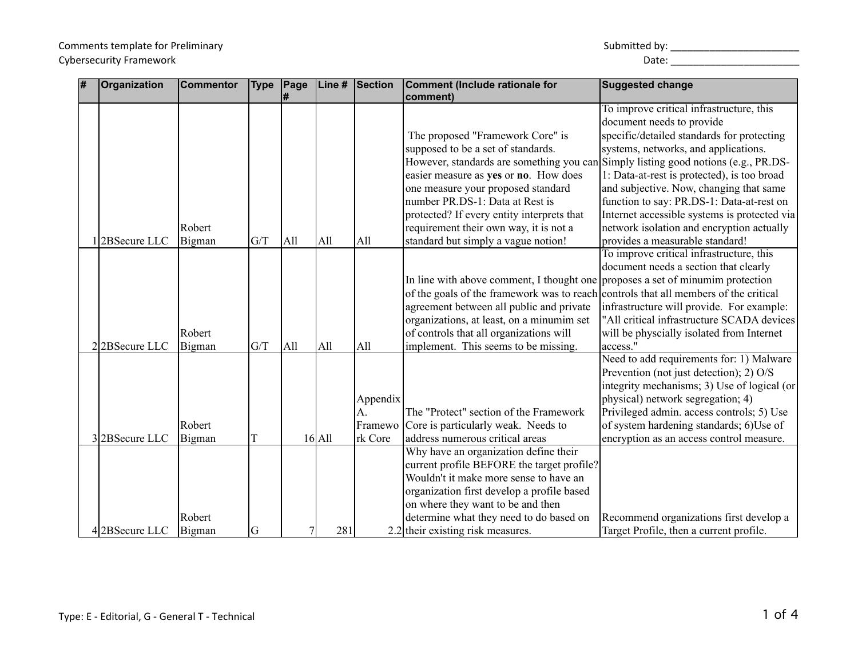## Comments template for Preliminary North Comments template for Preliminary Submitted by: \_\_\_\_\_\_\_\_\_\_\_\_\_\_\_\_\_\_\_\_\_\_\_\_\_\_\_\_\_ Cybersecurity Framework and the control of the control of the control of the control of the control of the control of the control of the control of the control of the control of the control of the control of the control of

| $\overline{\#}$ | Organization  | <b>Commentor</b> | <b>Type</b> | $\vert$ Page | Line #   | Section  | Comment (Include rationale for                                                       | <b>Suggested change</b>                      |
|-----------------|---------------|------------------|-------------|--------------|----------|----------|--------------------------------------------------------------------------------------|----------------------------------------------|
|                 |               |                  |             | #            |          |          | comment)                                                                             | To improve critical infrastructure, this     |
|                 |               |                  |             |              |          |          |                                                                                      | document needs to provide                    |
|                 |               |                  |             |              |          |          | The proposed "Framework Core" is                                                     | specific/detailed standards for protecting   |
|                 |               |                  |             |              |          |          | supposed to be a set of standards.                                                   | systems, networks, and applications.         |
|                 |               |                  |             |              |          |          | However, standards are something you can Simply listing good notions (e.g., PR.DS-   |                                              |
|                 |               |                  |             |              |          |          | easier measure as yes or no. How does                                                | 1: Data-at-rest is protected), is too broad  |
|                 |               |                  |             |              |          |          | one measure your proposed standard                                                   | and subjective. Now, changing that same      |
|                 |               |                  |             |              |          |          | number PR.DS-1: Data at Rest is                                                      | function to say: PR.DS-1: Data-at-rest on    |
|                 |               |                  |             |              |          |          | protected? If every entity interprets that                                           | Internet accessible systems is protected via |
|                 |               | Robert           |             |              |          |          | requirement their own way, it is not a                                               | network isolation and encryption actually    |
|                 | 12BSecure LLC | Bigman           | G/T         | All          | All      | All      | standard but simply a vague notion!                                                  | provides a measurable standard!              |
|                 |               |                  |             |              |          |          |                                                                                      | To improve critical infrastructure, this     |
|                 |               |                  |             |              |          |          |                                                                                      | document needs a section that clearly        |
|                 |               |                  |             |              |          |          | In line with above comment, I thought one proposes a set of minumim protection       |                                              |
|                 |               |                  |             |              |          |          | of the goals of the framework was to reach controls that all members of the critical |                                              |
|                 |               |                  |             |              |          |          | agreement between all public and private                                             | infrastructure will provide. For example:    |
|                 |               |                  |             |              |          |          | organizations, at least, on a minumim set                                            | "All critical infrastructure SCADA devices   |
|                 |               | Robert           |             |              |          |          | of controls that all organizations will                                              | will be physcially isolated from Internet    |
|                 | 22BSecure LLC | Bigman           | G/T         | All          | All      | All      | implement. This seems to be missing.                                                 | access.'                                     |
|                 |               |                  |             |              |          |          |                                                                                      | Need to add requirements for: 1) Malware     |
|                 |               |                  |             |              |          |          |                                                                                      | Prevention (not just detection); 2) O/S      |
|                 |               |                  |             |              |          |          |                                                                                      | integrity mechanisms; 3) Use of logical (or  |
|                 |               |                  |             |              |          | Appendix |                                                                                      | physical) network segregation; 4)            |
|                 |               |                  |             |              |          | A.       | The "Protect" section of the Framework                                               | Privileged admin. access controls; 5) Use    |
|                 |               | Robert           |             |              |          | Framewo  | Core is particularly weak. Needs to                                                  | of system hardening standards; 6)Use of      |
|                 | 32BSecure LLC | Bigman           |             |              | $16$ All | rk Core  | address numerous critical areas                                                      | encryption as an access control measure.     |
|                 |               |                  |             |              |          |          | Why have an organization define their                                                |                                              |
|                 |               |                  |             |              |          |          | current profile BEFORE the target profile?                                           |                                              |
|                 |               |                  |             |              |          |          | Wouldn't it make more sense to have an                                               |                                              |
|                 |               |                  |             |              |          |          | organization first develop a profile based                                           |                                              |
|                 |               |                  |             |              |          |          | on where they want to be and then                                                    |                                              |
|                 |               | Robert           |             |              |          |          | determine what they need to do based on                                              | Recommend organizations first develop a      |
|                 | 42BSecure LLC | Bigman           | G           | 7            | 281      |          | 2.2 their existing risk measures.                                                    | Target Profile, then a current profile.      |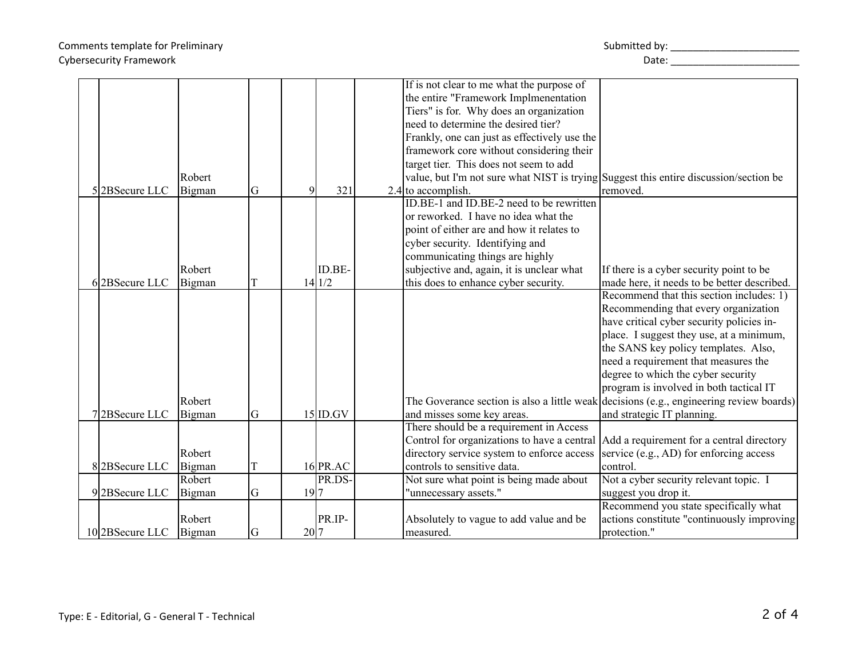|                |                  |    |      |                    | If is not clear to me what the purpose of                                             |                                                                                         |
|----------------|------------------|----|------|--------------------|---------------------------------------------------------------------------------------|-----------------------------------------------------------------------------------------|
|                |                  |    |      |                    | the entire "Framework Implmenentation                                                 |                                                                                         |
|                |                  |    |      |                    | Tiers" is for. Why does an organization                                               |                                                                                         |
|                |                  |    |      |                    | need to determine the desired tier?                                                   |                                                                                         |
|                |                  |    |      |                    | Frankly, one can just as effectively use the                                          |                                                                                         |
|                |                  |    |      |                    | framework core without considering their                                              |                                                                                         |
|                |                  |    |      |                    | target tier. This does not seem to add                                                |                                                                                         |
|                | Robert           |    |      |                    | value, but I'm not sure what NIST is trying Suggest this entire discussion/section be |                                                                                         |
| 52BSecure LLC  | Bigman           | G  |      | 321                | $2.4$ to accomplish.                                                                  | removed.                                                                                |
|                |                  |    |      |                    | ID.BE-1 and ID.BE-2 need to be rewritten                                              |                                                                                         |
|                |                  |    |      |                    | or reworked. I have no idea what the                                                  |                                                                                         |
|                |                  |    |      |                    | point of either are and how it relates to                                             |                                                                                         |
|                |                  |    |      |                    | cyber security. Identifying and                                                       |                                                                                         |
|                |                  |    |      |                    | communicating things are highly                                                       |                                                                                         |
|                | Robert           |    |      | ID.BE-             | subjective and, again, it is unclear what                                             | If there is a cyber security point to be                                                |
| 62BSecure LLC  | Bigman           | T  |      | 14 1/2             | this does to enhance cyber security.                                                  | made here, it needs to be better described.                                             |
|                |                  |    |      |                    |                                                                                       | Recommend that this section includes: 1)                                                |
|                |                  |    |      |                    |                                                                                       | Recommending that every organization                                                    |
|                |                  |    |      |                    |                                                                                       | have critical cyber security policies in-                                               |
|                |                  |    |      |                    |                                                                                       | place. I suggest they use, at a minimum,                                                |
|                |                  |    |      |                    |                                                                                       | the SANS key policy templates. Also,                                                    |
|                |                  |    |      |                    |                                                                                       | need a requirement that measures the                                                    |
|                |                  |    |      |                    |                                                                                       | degree to which the cyber security                                                      |
|                |                  |    |      |                    |                                                                                       | program is involved in both tactical IT                                                 |
|                | Robert           |    |      |                    |                                                                                       | The Goverance section is also a little weak decisions (e.g., engineering review boards) |
| 72BSecure LLC  | Bigman           | G  |      | $15$ ID.GV         | and misses some key areas.                                                            | and strategic IT planning.                                                              |
|                |                  |    |      |                    | There should be a requirement in Access                                               |                                                                                         |
|                |                  |    |      |                    | Control for organizations to have a central Add a requirement for a central directory |                                                                                         |
|                | Robert           |    |      |                    | directory service system to enforce access                                            | service (e.g., AD) for enforcing access                                                 |
|                |                  |    |      |                    | controls to sensitive data.                                                           | control.                                                                                |
| 82BSecure LLC  | Bigman<br>Robert | T  |      | 16 PR.AC<br>PR.DS- | Not sure what point is being made about                                               | Not a cyber security relevant topic. I                                                  |
|                |                  |    |      |                    |                                                                                       |                                                                                         |
| 92BSecure LLC  | Bigman           | G  | 19 7 |                    | "unnecessary assets."                                                                 | suggest you drop it.<br>Recommend you state specifically what                           |
|                |                  |    |      |                    |                                                                                       |                                                                                         |
|                | Robert           |    |      | PR.IP-             | Absolutely to vague to add value and be                                               | actions constitute "continuously improving                                              |
| 102BSecure LLC | Bigman           | lG | 20 7 |                    | measured.                                                                             | protection."                                                                            |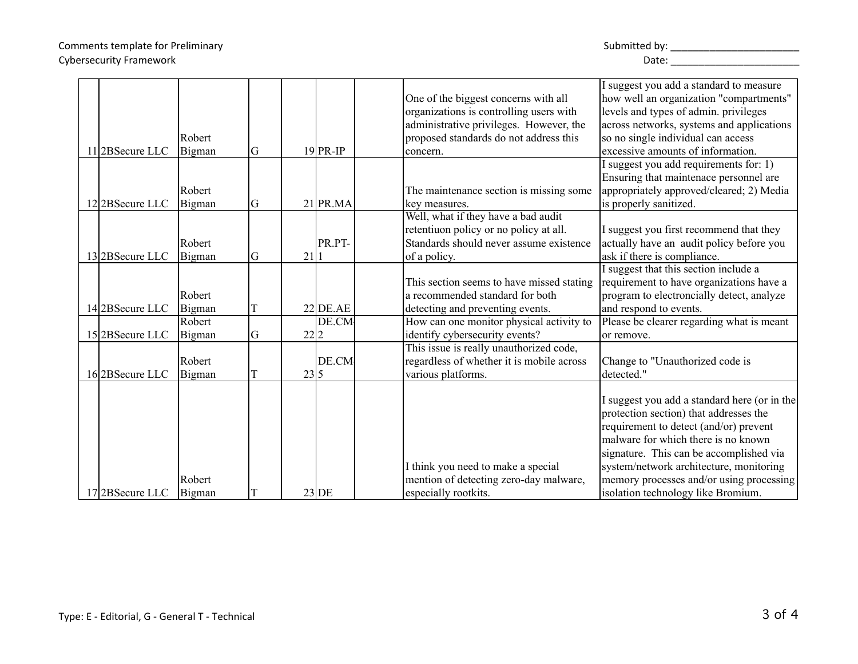| 112BSecure LLC | Robert<br>Bigman | G |      | $19$ PR-IP | One of the biggest concerns with all<br>organizations is controlling users with<br>administrative privileges. However, the<br>proposed standards do not address this<br>concern. | I suggest you add a standard to measure<br>how well an organization "compartments"<br>levels and types of admin. privileges<br>across networks, systems and applications<br>so no single individual can access<br>excessive amounts of information.                                                                                             |
|----------------|------------------|---|------|------------|----------------------------------------------------------------------------------------------------------------------------------------------------------------------------------|-------------------------------------------------------------------------------------------------------------------------------------------------------------------------------------------------------------------------------------------------------------------------------------------------------------------------------------------------|
| 122BSecure LLC | Robert<br>Bigman | G |      | $21$ PR.MA | The maintenance section is missing some<br>key measures.                                                                                                                         | I suggest you add requirements for: 1)<br>Ensuring that maintenace personnel are<br>appropriately approved/cleared; 2) Media<br>is properly sanitized.                                                                                                                                                                                          |
| 132BSecure LLC | Robert<br>Bigman | G | 21 1 | PR.PT-     | Well, what if they have a bad audit<br>retentiuon policy or no policy at all.<br>Standards should never assume existence<br>of a policy.                                         | I suggest you first recommend that they<br>actually have an audit policy before you<br>ask if there is compliance.                                                                                                                                                                                                                              |
| 142BSecure LLC | Robert<br>Bigman |   |      | $22$ DE.AE | This section seems to have missed stating<br>a recommended standard for both<br>detecting and preventing events.                                                                 | I suggest that this section include a<br>requirement to have organizations have a<br>program to electroncially detect, analyze<br>and respond to events.                                                                                                                                                                                        |
| 152BSecure LLC | Robert<br>Bigman | G | 22 2 | DE.CM      | How can one monitor physical activity to<br>identify cybersecurity events?                                                                                                       | Please be clearer regarding what is meant<br>or remove.                                                                                                                                                                                                                                                                                         |
| 162BSecure LLC | Robert<br>Bigman |   | 23 5 | DE.CM      | This issue is really unauthorized code,<br>regardless of whether it is mobile across<br>various platforms.                                                                       | Change to "Unauthorized code is<br>detected."                                                                                                                                                                                                                                                                                                   |
| 172BSecure LLC | Robert<br>Bigman |   |      | $23$ DE    | I think you need to make a special<br>mention of detecting zero-day malware,<br>especially rootkits.                                                                             | I suggest you add a standard here (or in the<br>protection section) that addresses the<br>requirement to detect (and/or) prevent<br>malware for which there is no known<br>signature. This can be accomplished via<br>system/network architecture, monitoring<br>memory processes and/or using processing<br>isolation technology like Bromium. |